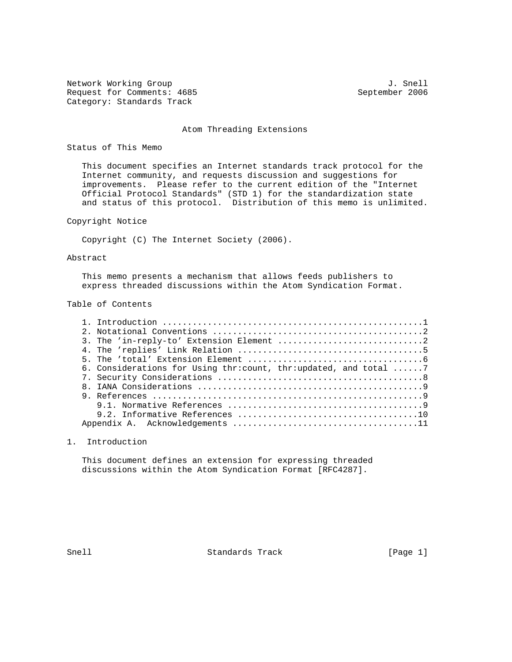Network Working Group 3. Snell Request for Comments: 4685 September 2006 Category: Standards Track

#### Atom Threading Extensions

Status of This Memo

 This document specifies an Internet standards track protocol for the Internet community, and requests discussion and suggestions for improvements. Please refer to the current edition of the "Internet Official Protocol Standards" (STD 1) for the standardization state and status of this protocol. Distribution of this memo is unlimited.

Copyright Notice

Copyright (C) The Internet Society (2006).

### Abstract

 This memo presents a mechanism that allows feeds publishers to express threaded discussions within the Atom Syndication Format.

Table of Contents

| 6. Considerations for Using thr:count, thr:updated, and total 7 |
|-----------------------------------------------------------------|
|                                                                 |
|                                                                 |
|                                                                 |
|                                                                 |
|                                                                 |
|                                                                 |

# 1. Introduction

 This document defines an extension for expressing threaded discussions within the Atom Syndication Format [RFC4287].

Snell Standards Track [Page 1]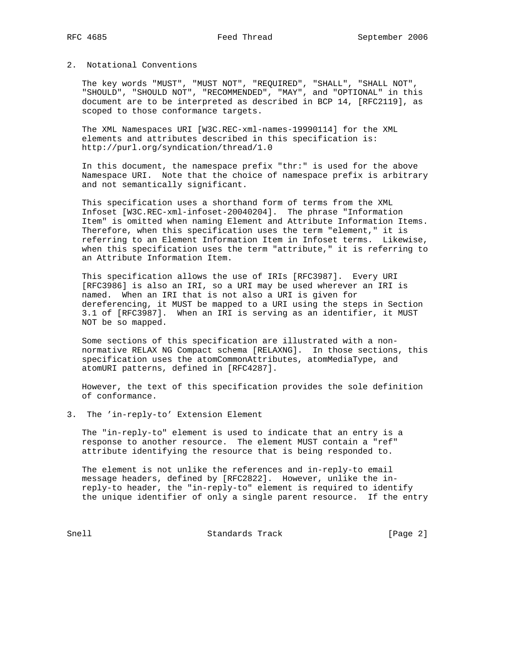## 2. Notational Conventions

 The key words "MUST", "MUST NOT", "REQUIRED", "SHALL", "SHALL NOT", "SHOULD", "SHOULD NOT", "RECOMMENDED", "MAY", and "OPTIONAL" in this document are to be interpreted as described in BCP 14, [RFC2119], as scoped to those conformance targets.

 The XML Namespaces URI [W3C.REC-xml-names-19990114] for the XML elements and attributes described in this specification is: http://purl.org/syndication/thread/1.0

 In this document, the namespace prefix "thr:" is used for the above Namespace URI. Note that the choice of namespace prefix is arbitrary and not semantically significant.

 This specification uses a shorthand form of terms from the XML Infoset [W3C.REC-xml-infoset-20040204]. The phrase "Information Item" is omitted when naming Element and Attribute Information Items. Therefore, when this specification uses the term "element," it is referring to an Element Information Item in Infoset terms. Likewise, when this specification uses the term "attribute," it is referring to an Attribute Information Item.

 This specification allows the use of IRIs [RFC3987]. Every URI [RFC3986] is also an IRI, so a URI may be used wherever an IRI is named. When an IRI that is not also a URI is given for dereferencing, it MUST be mapped to a URI using the steps in Section 3.1 of [RFC3987]. When an IRI is serving as an identifier, it MUST NOT be so mapped.

 Some sections of this specification are illustrated with a non normative RELAX NG Compact schema [RELAXNG]. In those sections, this specification uses the atomCommonAttributes, atomMediaType, and atomURI patterns, defined in [RFC4287].

 However, the text of this specification provides the sole definition of conformance.

3. The 'in-reply-to' Extension Element

 The "in-reply-to" element is used to indicate that an entry is a response to another resource. The element MUST contain a "ref" attribute identifying the resource that is being responded to.

 The element is not unlike the references and in-reply-to email message headers, defined by [RFC2822]. However, unlike the in reply-to header, the "in-reply-to" element is required to identify the unique identifier of only a single parent resource. If the entry

Snell Standards Track [Page 2]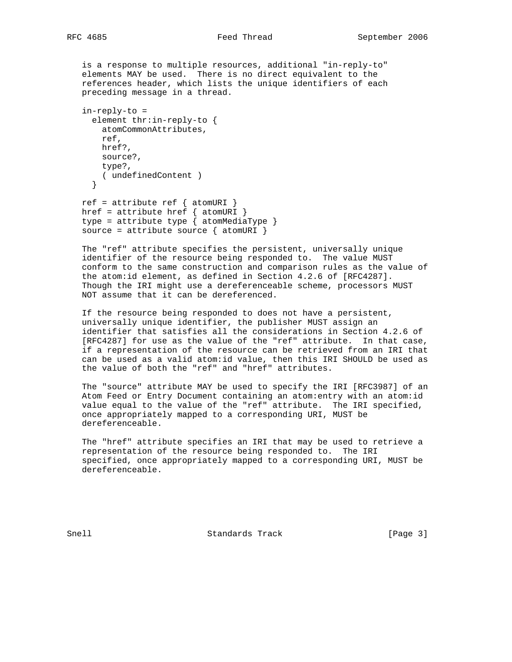is a response to multiple resources, additional "in-reply-to" elements MAY be used. There is no direct equivalent to the references header, which lists the unique identifiers of each preceding message in a thread.

```
 in-reply-to =
   element thr:in-reply-to {
    atomCommonAttributes,
     ref,
    href?,
    source?,
    type?,
    ( undefinedContent )
   }
ref = attribute ref \{ atomURI \}
```
href = attribute href  $\{$  atomURI  $\}$  type = attribute type { atomMediaType } source = attribute source  $\{$  atomURI  $\}$ 

 The "ref" attribute specifies the persistent, universally unique identifier of the resource being responded to. The value MUST conform to the same construction and comparison rules as the value of the atom:id element, as defined in Section 4.2.6 of [RFC4287]. Though the IRI might use a dereferenceable scheme, processors MUST NOT assume that it can be dereferenced.

 If the resource being responded to does not have a persistent, universally unique identifier, the publisher MUST assign an identifier that satisfies all the considerations in Section 4.2.6 of [RFC4287] for use as the value of the "ref" attribute. In that case, if a representation of the resource can be retrieved from an IRI that can be used as a valid atom:id value, then this IRI SHOULD be used as the value of both the "ref" and "href" attributes.

 The "source" attribute MAY be used to specify the IRI [RFC3987] of an Atom Feed or Entry Document containing an atom:entry with an atom:id value equal to the value of the "ref" attribute. The IRI specified, once appropriately mapped to a corresponding URI, MUST be dereferenceable.

 The "href" attribute specifies an IRI that may be used to retrieve a representation of the resource being responded to. The IRI specified, once appropriately mapped to a corresponding URI, MUST be dereferenceable.

Snell Standards Track [Page 3]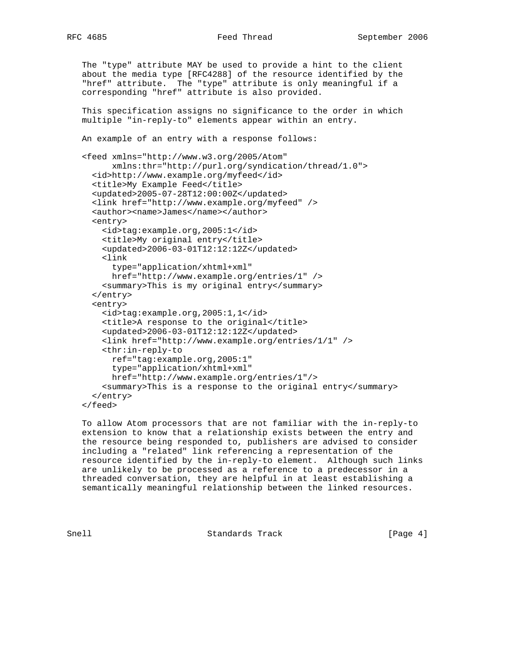```
RFC 4685 Feed Thread September 2006
```

```
 The "type" attribute MAY be used to provide a hint to the client
 about the media type [RFC4288] of the resource identified by the
 "href" attribute. The "type" attribute is only meaningful if a
 corresponding "href" attribute is also provided.
 This specification assigns no significance to the order in which
 multiple "in-reply-to" elements appear within an entry.
 An example of an entry with a response follows:
 <feed xmlns="http://www.w3.org/2005/Atom"
       xmlns:thr="http://purl.org/syndication/thread/1.0">
   <id>http://www.example.org/myfeed</id>
   <title>My Example Feed</title>
   <updated>2005-07-28T12:00:00Z</updated>
   <link href="http://www.example.org/myfeed" />
   <author><name>James</name></author>
   <entry>
     <id>tag:example.org,2005:1</id>
     <title>My original entry</title>
     <updated>2006-03-01T12:12:12Z</updated>
     <link
       type="application/xhtml+xml"
       href="http://www.example.org/entries/1" />
     <summary>This is my original entry</summary>
   </entry>
   <entry>
     <id>tag:example.org,2005:1,1</id>
     <title>A response to the original</title>
     <updated>2006-03-01T12:12:12Z</updated>
     <link href="http://www.example.org/entries/1/1" />
     <thr:in-reply-to
       ref="tag:example.org,2005:1"
       type="application/xhtml+xml"
       href="http://www.example.org/entries/1"/>
     <summary>This is a response to the original entry</summary>
   </entry>
 </feed>
```
 To allow Atom processors that are not familiar with the in-reply-to extension to know that a relationship exists between the entry and the resource being responded to, publishers are advised to consider including a "related" link referencing a representation of the resource identified by the in-reply-to element. Although such links are unlikely to be processed as a reference to a predecessor in a threaded conversation, they are helpful in at least establishing a semantically meaningful relationship between the linked resources.

Snell Standards Track [Page 4]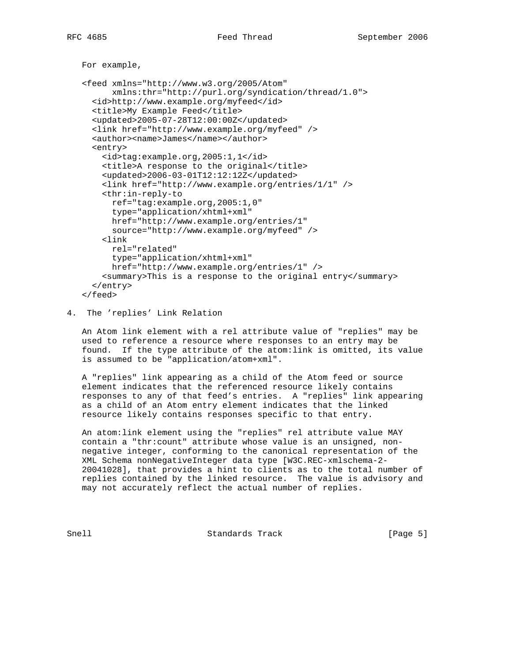```
 For example,
 <feed xmlns="http://www.w3.org/2005/Atom"
       xmlns:thr="http://purl.org/syndication/thread/1.0">
   <id>http://www.example.org/myfeed</id>
   <title>My Example Feed</title>
   <updated>2005-07-28T12:00:00Z</updated>
   <link href="http://www.example.org/myfeed" />
   <author><name>James</name></author>
   <entry>
     <id>tag:example.org,2005:1,1</id>
     <title>A response to the original</title>
     <updated>2006-03-01T12:12:12Z</updated>
     <link href="http://www.example.org/entries/1/1" />
     <thr:in-reply-to
       ref="tag:example.org,2005:1,0"
       type="application/xhtml+xml"
       href="http://www.example.org/entries/1"
      source="http://www.example.org/myfeed" />
     <link
      rel="related"
      type="application/xhtml+xml"
      href="http://www.example.org/entries/1" />
     <summary>This is a response to the original entry</summary>
   </entry>
```
#### </feed>

### 4. The 'replies' Link Relation

 An Atom link element with a rel attribute value of "replies" may be used to reference a resource where responses to an entry may be found. If the type attribute of the atom:link is omitted, its value is assumed to be "application/atom+xml".

 A "replies" link appearing as a child of the Atom feed or source element indicates that the referenced resource likely contains responses to any of that feed's entries. A "replies" link appearing as a child of an Atom entry element indicates that the linked resource likely contains responses specific to that entry.

 An atom:link element using the "replies" rel attribute value MAY contain a "thr:count" attribute whose value is an unsigned, non negative integer, conforming to the canonical representation of the XML Schema nonNegativeInteger data type [W3C.REC-xmlschema-2- 20041028], that provides a hint to clients as to the total number of replies contained by the linked resource. The value is advisory and may not accurately reflect the actual number of replies.

Snell Standards Track [Page 5]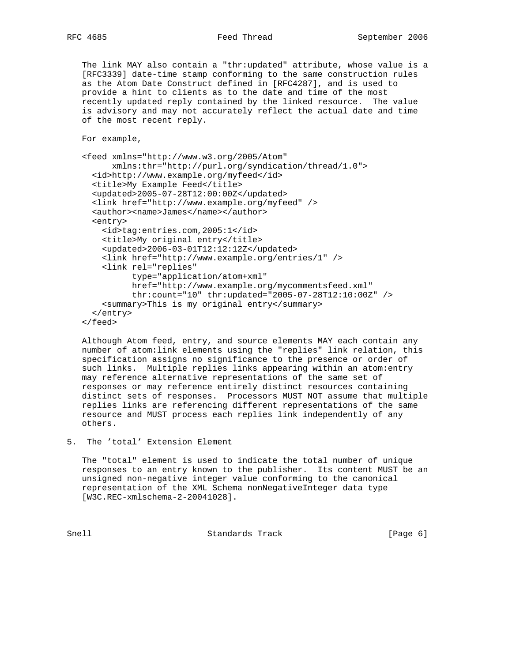The link MAY also contain a "thr:updated" attribute, whose value is a [RFC3339] date-time stamp conforming to the same construction rules as the Atom Date Construct defined in [RFC4287], and is used to provide a hint to clients as to the date and time of the most recently updated reply contained by the linked resource. The value is advisory and may not accurately reflect the actual date and time of the most recent reply.

```
 For example,
```

```
 <feed xmlns="http://www.w3.org/2005/Atom"
       xmlns:thr="http://purl.org/syndication/thread/1.0">
   <id>http://www.example.org/myfeed</id>
   <title>My Example Feed</title>
   <updated>2005-07-28T12:00:00Z</updated>
   <link href="http://www.example.org/myfeed" />
   <author><name>James</name></author>
   <entry>
    <id>tag:entries.com,2005:1</id>
     <title>My original entry</title>
     <updated>2006-03-01T12:12:12Z</updated>
     <link href="http://www.example.org/entries/1" />
     <link rel="replies"
           type="application/atom+xml"
           href="http://www.example.org/mycommentsfeed.xml"
           thr:count="10" thr:updated="2005-07-28T12:10:00Z" />
     <summary>This is my original entry</summary>
   </entry>
 </feed>
```
 Although Atom feed, entry, and source elements MAY each contain any number of atom:link elements using the "replies" link relation, this specification assigns no significance to the presence or order of such links. Multiple replies links appearing within an atom:entry may reference alternative representations of the same set of responses or may reference entirely distinct resources containing distinct sets of responses. Processors MUST NOT assume that multiple replies links are referencing different representations of the same resource and MUST process each replies link independently of any others.

5. The 'total' Extension Element

 The "total" element is used to indicate the total number of unique responses to an entry known to the publisher. Its content MUST be an unsigned non-negative integer value conforming to the canonical representation of the XML Schema nonNegativeInteger data type [W3C.REC-xmlschema-2-20041028].

Snell Standards Track [Page 6]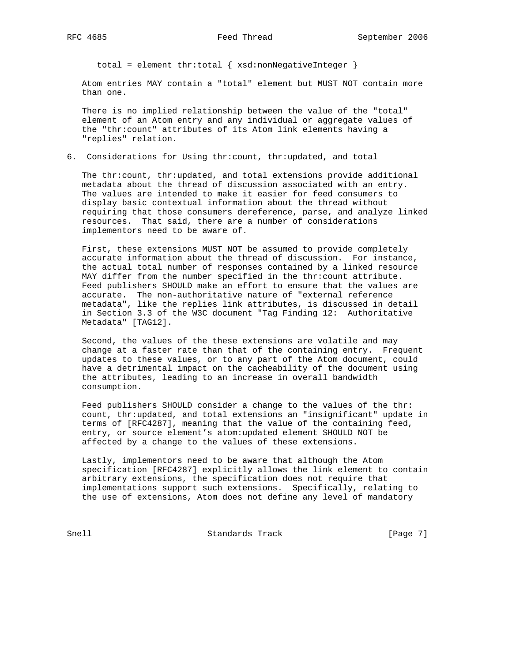total = element thr:total { xsd:nonNegativeInteger }

 Atom entries MAY contain a "total" element but MUST NOT contain more than one.

 There is no implied relationship between the value of the "total" element of an Atom entry and any individual or aggregate values of the "thr:count" attributes of its Atom link elements having a "replies" relation.

6. Considerations for Using thr:count, thr:updated, and total

 The thr:count, thr:updated, and total extensions provide additional metadata about the thread of discussion associated with an entry. The values are intended to make it easier for feed consumers to display basic contextual information about the thread without requiring that those consumers dereference, parse, and analyze linked resources. That said, there are a number of considerations implementors need to be aware of.

 First, these extensions MUST NOT be assumed to provide completely accurate information about the thread of discussion. For instance, the actual total number of responses contained by a linked resource MAY differ from the number specified in the thr:count attribute. Feed publishers SHOULD make an effort to ensure that the values are accurate. The non-authoritative nature of "external reference metadata", like the replies link attributes, is discussed in detail in Section 3.3 of the W3C document "Tag Finding 12: Authoritative Metadata" [TAG12].

 Second, the values of the these extensions are volatile and may change at a faster rate than that of the containing entry. Frequent updates to these values, or to any part of the Atom document, could have a detrimental impact on the cacheability of the document using the attributes, leading to an increase in overall bandwidth consumption.

 Feed publishers SHOULD consider a change to the values of the thr: count, thr:updated, and total extensions an "insignificant" update in terms of [RFC4287], meaning that the value of the containing feed, entry, or source element's atom:updated element SHOULD NOT be affected by a change to the values of these extensions.

 Lastly, implementors need to be aware that although the Atom specification [RFC4287] explicitly allows the link element to contain arbitrary extensions, the specification does not require that implementations support such extensions. Specifically, relating to the use of extensions, Atom does not define any level of mandatory

Snell Standards Track [Page 7]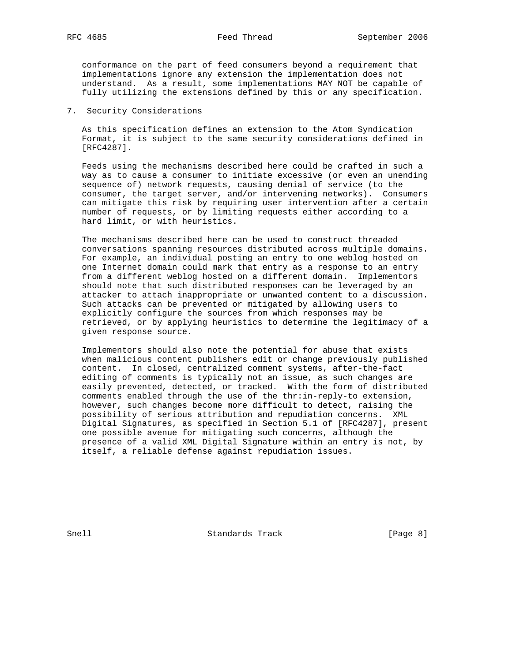conformance on the part of feed consumers beyond a requirement that implementations ignore any extension the implementation does not understand. As a result, some implementations MAY NOT be capable of fully utilizing the extensions defined by this or any specification.

7. Security Considerations

 As this specification defines an extension to the Atom Syndication Format, it is subject to the same security considerations defined in [RFC4287].

 Feeds using the mechanisms described here could be crafted in such a way as to cause a consumer to initiate excessive (or even an unending sequence of) network requests, causing denial of service (to the consumer, the target server, and/or intervening networks). Consumers can mitigate this risk by requiring user intervention after a certain number of requests, or by limiting requests either according to a hard limit, or with heuristics.

 The mechanisms described here can be used to construct threaded conversations spanning resources distributed across multiple domains. For example, an individual posting an entry to one weblog hosted on one Internet domain could mark that entry as a response to an entry from a different weblog hosted on a different domain. Implementors should note that such distributed responses can be leveraged by an attacker to attach inappropriate or unwanted content to a discussion. Such attacks can be prevented or mitigated by allowing users to explicitly configure the sources from which responses may be retrieved, or by applying heuristics to determine the legitimacy of a given response source.

 Implementors should also note the potential for abuse that exists when malicious content publishers edit or change previously published content. In closed, centralized comment systems, after-the-fact editing of comments is typically not an issue, as such changes are easily prevented, detected, or tracked. With the form of distributed comments enabled through the use of the thr:in-reply-to extension, however, such changes become more difficult to detect, raising the possibility of serious attribution and repudiation concerns. XML Digital Signatures, as specified in Section 5.1 of [RFC4287], present one possible avenue for mitigating such concerns, although the presence of a valid XML Digital Signature within an entry is not, by itself, a reliable defense against repudiation issues.

Snell Standards Track [Page 8]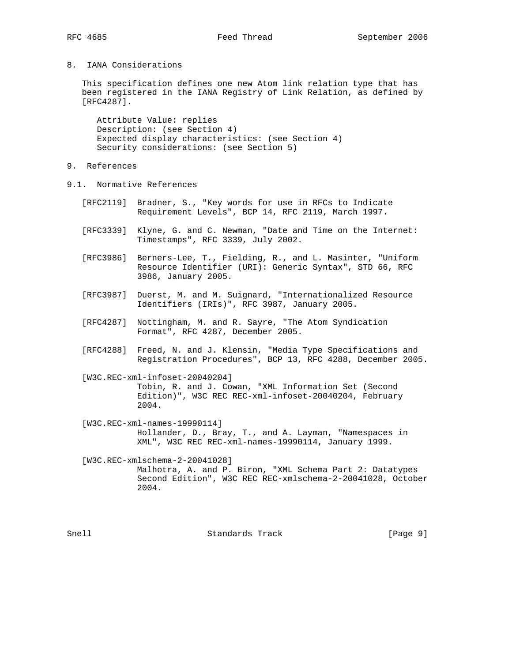# 8. IANA Considerations

 This specification defines one new Atom link relation type that has been registered in the IANA Registry of Link Relation, as defined by [RFC4287].

 Attribute Value: replies Description: (see Section 4) Expected display characteristics: (see Section 4) Security considerations: (see Section 5)

- 9. References
- 9.1. Normative References
	- [RFC2119] Bradner, S., "Key words for use in RFCs to Indicate Requirement Levels", BCP 14, RFC 2119, March 1997.
	- [RFC3339] Klyne, G. and C. Newman, "Date and Time on the Internet: Timestamps", RFC 3339, July 2002.
	- [RFC3986] Berners-Lee, T., Fielding, R., and L. Masinter, "Uniform Resource Identifier (URI): Generic Syntax", STD 66, RFC 3986, January 2005.
	- [RFC3987] Duerst, M. and M. Suignard, "Internationalized Resource Identifiers (IRIs)", RFC 3987, January 2005.
	- [RFC4287] Nottingham, M. and R. Sayre, "The Atom Syndication Format", RFC 4287, December 2005.
	- [RFC4288] Freed, N. and J. Klensin, "Media Type Specifications and Registration Procedures", BCP 13, RFC 4288, December 2005.

 [W3C.REC-xml-infoset-20040204] Tobin, R. and J. Cowan, "XML Information Set (Second Edition)", W3C REC REC-xml-infoset-20040204, February 2004.

 [W3C.REC-xml-names-19990114] Hollander, D., Bray, T., and A. Layman, "Namespaces in XML", W3C REC REC-xml-names-19990114, January 1999.

 [W3C.REC-xmlschema-2-20041028] Malhotra, A. and P. Biron, "XML Schema Part 2: Datatypes Second Edition", W3C REC REC-xmlschema-2-20041028, October 2004.

Snell Standards Track [Page 9]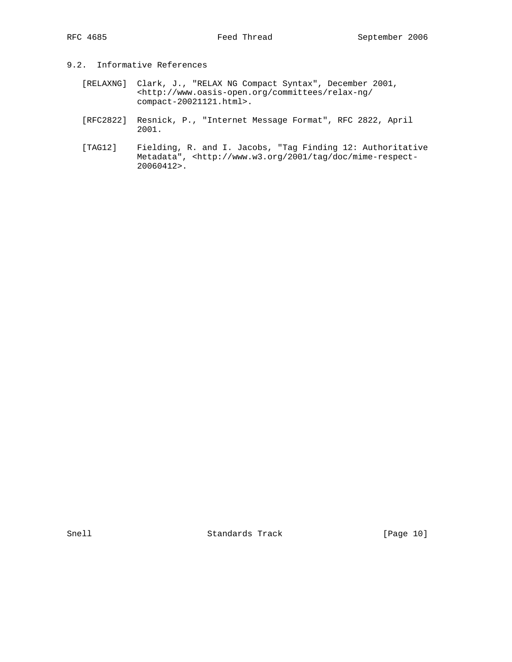- 9.2. Informative References
	- [RELAXNG] Clark, J., "RELAX NG Compact Syntax", December 2001, <http://www.oasis-open.org/committees/relax-ng/ compact-20021121.html>.
	- [RFC2822] Resnick, P., "Internet Message Format", RFC 2822, April 2001.
	- [TAG12] Fielding, R. and I. Jacobs, "Tag Finding 12: Authoritative Metadata", <http://www.w3.org/2001/tag/doc/mime-respect- 20060412>.

Snell Standards Track [Page 10]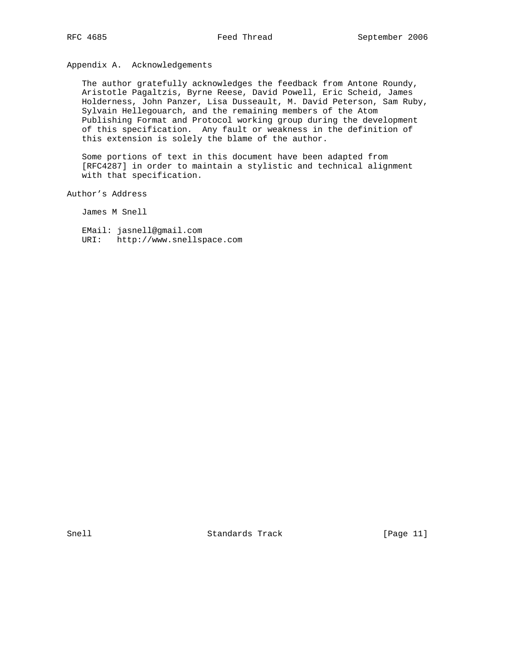Appendix A. Acknowledgements

 The author gratefully acknowledges the feedback from Antone Roundy, Aristotle Pagaltzis, Byrne Reese, David Powell, Eric Scheid, James Holderness, John Panzer, Lisa Dusseault, M. David Peterson, Sam Ruby, Sylvain Hellegouarch, and the remaining members of the Atom Publishing Format and Protocol working group during the development of this specification. Any fault or weakness in the definition of this extension is solely the blame of the author.

 Some portions of text in this document have been adapted from [RFC4287] in order to maintain a stylistic and technical alignment with that specification.

Author's Address

James M Snell

 EMail: jasnell@gmail.com URI: http://www.snellspace.com

Snell Standards Track [Page 11]